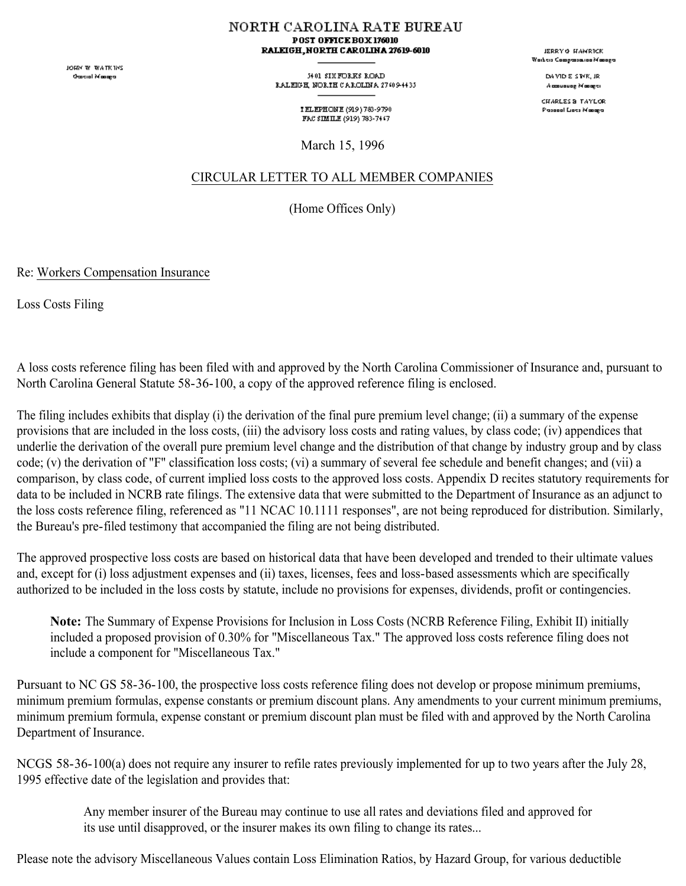JOHN W. WATKINS **Oascial Masage** 

NORTH CAROLINA RATE BUREAU POST OFFICE BOX 176010 RALEIGH, NORTH CAROLINA 27619-6010

> 54.01 SIX FORKS ROAD RALEGH, NORTH CAROLINA 27409-4435

> > TELEPHONE (919) 783-9790 FAC SIMILE (919) 783-7447

March 15, 1996

## CIRCULAR LETTER TO ALL MEMBER COMPANIES

(Home Offices Only)

Re: Workers Compensation Insurance

Loss Costs Filing

A loss costs reference filing has been filed with and approved by the North Carolina Commissioner of Insurance and, pursuant to North Carolina General Statute 58-36-100, a copy of the approved reference filing is enclosed.

The filing includes exhibits that display (i) the derivation of the final pure premium level change; (ii) a summary of the expense provisions that are included in the loss costs, (iii) the advisory loss costs and rating values, by class code; (iv) appendices that underlie the derivation of the overall pure premium level change and the distribution of that change by industry group and by class code; (v) the derivation of "F" classification loss costs; (vi) a summary of several fee schedule and benefit changes; and (vii) a comparison, by class code, of current implied loss costs to the approved loss costs. Appendix D recites statutory requirements for data to be included in NCRB rate filings. The extensive data that were submitted to the Department of Insurance as an adjunct to the loss costs reference filing, referenced as "11 NCAC 10.1111 responses", are not being reproduced for distribution. Similarly, the Bureau's pre-filed testimony that accompanied the filing are not being distributed.

The approved prospective loss costs are based on historical data that have been developed and trended to their ultimate values and, except for (i) loss adjustment expenses and (ii) taxes, licenses, fees and loss-based assessments which are specifically authorized to be included in the loss costs by statute, include no provisions for expenses, dividends, profit or contingencies.

**Note:** The Summary of Expense Provisions for Inclusion in Loss Costs (NCRB Reference Filing, Exhibit II) initially included a proposed provision of 0.30% for "Miscellaneous Tax." The approved loss costs reference filing does not include a component for "Miscellaneous Tax."

Pursuant to NC GS 58-36-100, the prospective loss costs reference filing does not develop or propose minimum premiums, minimum premium formulas, expense constants or premium discount plans. Any amendments to your current minimum premiums, minimum premium formula, expense constant or premium discount plan must be filed with and approved by the North Carolina Department of Insurance.

NCGS 58-36-100(a) does not require any insurer to refile rates previously implemented for up to two years after the July 28, 1995 effective date of the legislation and provides that:

> Any member insurer of the Bureau may continue to use all rates and deviations filed and approved for its use until disapproved, or the insurer makes its own filing to change its rates...

Please note the advisory Miscellaneous Values contain Loss Elimination Ratios, by Hazard Group, for various deductible

JERRY & HAMRICK .<br>Waiteis Campasauna Managa

> DAMD E STYR, JR Accounting Monoger

CHARLES & TAYLOR Passeal Lists Masage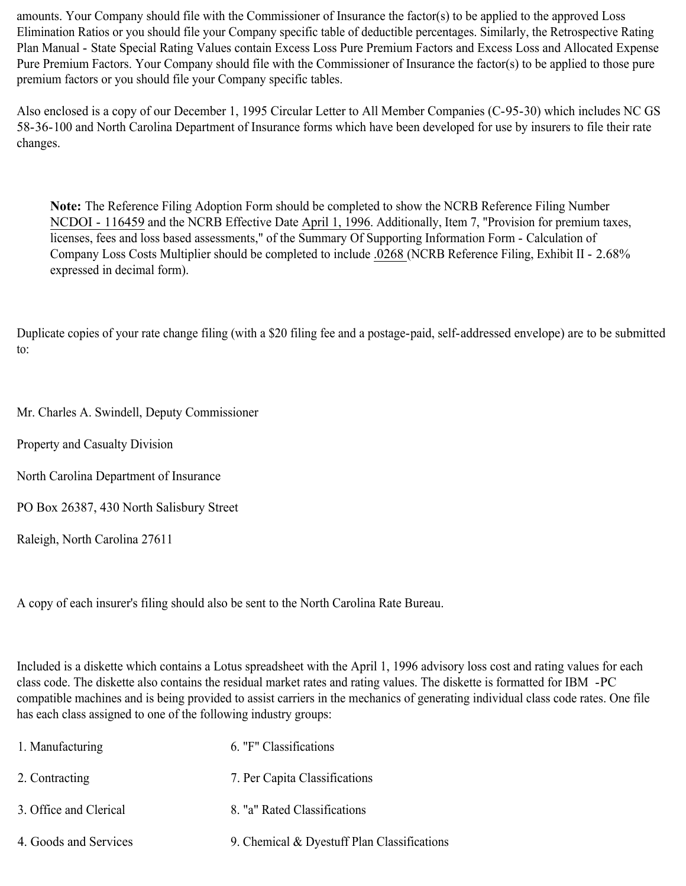amounts. Your Company should file with the Commissioner of Insurance the factor(s) to be applied to the approved Loss Elimination Ratios or you should file your Company specific table of deductible percentages. Similarly, the Retrospective Rating Plan Manual - State Special Rating Values contain Excess Loss Pure Premium Factors and Excess Loss and Allocated Expense Pure Premium Factors. Your Company should file with the Commissioner of Insurance the factor(s) to be applied to those pure premium factors or you should file your Company specific tables.

Also enclosed is a copy of our December 1, 1995 Circular Letter to All Member Companies (C-95-30) which includes NC GS 58-36-100 and North Carolina Department of Insurance forms which have been developed for use by insurers to file their rate changes.

**Note:** The Reference Filing Adoption Form should be completed to show the NCRB Reference Filing Number NCDOI - 116459 and the NCRB Effective Date April 1, 1996. Additionally, Item 7, "Provision for premium taxes, licenses, fees and loss based assessments," of the Summary Of Supporting Information Form - Calculation of Company Loss Costs Multiplier should be completed to include .0268 (NCRB Reference Filing, Exhibit II - 2.68% expressed in decimal form).

Duplicate copies of your rate change filing (with a \$20 filing fee and a postage-paid, self-addressed envelope) are to be submitted to:

Mr. Charles A. Swindell, Deputy Commissioner

Property and Casualty Division

North Carolina Department of Insurance

PO Box 26387, 430 North Salisbury Street

Raleigh, North Carolina 27611

A copy of each insurer's filing should also be sent to the North Carolina Rate Bureau.

Included is a diskette which contains a Lotus spreadsheet with the April 1, 1996 advisory loss cost and rating values for each class code. The diskette also contains the residual market rates and rating values. The diskette is formatted for IBM -PC compatible machines and is being provided to assist carriers in the mechanics of generating individual class code rates. One file has each class assigned to one of the following industry groups:

| 1. Manufacturing       | 6. "F" Classifications                      |
|------------------------|---------------------------------------------|
| 2. Contracting         | 7. Per Capita Classifications               |
| 3. Office and Clerical | 8. "a" Rated Classifications                |
| 4. Goods and Services  | 9. Chemical & Dyestuff Plan Classifications |